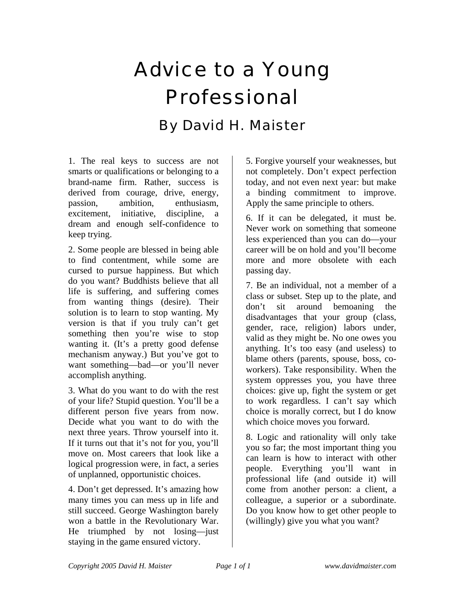## Advice to a Young Professional By David H. Maister

1. The real keys to success are not smarts or qualifications or belonging to a brand-name firm. Rather, success is derived from courage, drive, energy, passion, ambition, enthusiasm, excitement, initiative, discipline, a dream and enough self-confidence to keep trying.

2. Some people are blessed in being able to find contentment, while some are cursed to pursue happiness. But which do you want? Buddhists believe that all life is suffering, and suffering comes from wanting things (desire). Their solution is to learn to stop wanting. My version is that if you truly can't get something then you're wise to stop wanting it. (It's a pretty good defense mechanism anyway.) But you've got to want something—bad—or you'll never accomplish anything.

3. What do you want to do with the rest of your life? Stupid question. You'll be a different person five years from now. Decide what you want to do with the next three years. Throw yourself into it. If it turns out that it's not for you, you'll move on. Most careers that look like a logical progression were, in fact, a series of unplanned, opportunistic choices.

4. Don't get depressed. It's amazing how many times you can mess up in life and still succeed. George Washington barely won a battle in the Revolutionary War. He triumphed by not losing—just staying in the game ensured victory.

5. Forgive yourself your weaknesses, but not completely. Don't expect perfection today, and not even next year: but make a binding commitment to improve. Apply the same principle to others.

6. If it can be delegated, it must be. Never work on something that someone less experienced than you can do—your career will be on hold and you'll become more and more obsolete with each passing day.

7. Be an individual, not a member of a class or subset. Step up to the plate, and don't sit around bemoaning the disadvantages that your group (class, gender, race, religion) labors under, valid as they might be. No one owes you anything. It's too easy (and useless) to blame others (parents, spouse, boss, coworkers). Take responsibility. When the system oppresses you, you have three choices: give up, fight the system or get to work regardless. I can't say which choice is morally correct, but I do know which choice moves you forward.

8. Logic and rationality will only take you so far; the most important thing you can learn is how to interact with other people. Everything you'll want in professional life (and outside it) will come from another person: a client, a colleague, a superior or a subordinate. Do you know how to get other people to (willingly) give you what you want?